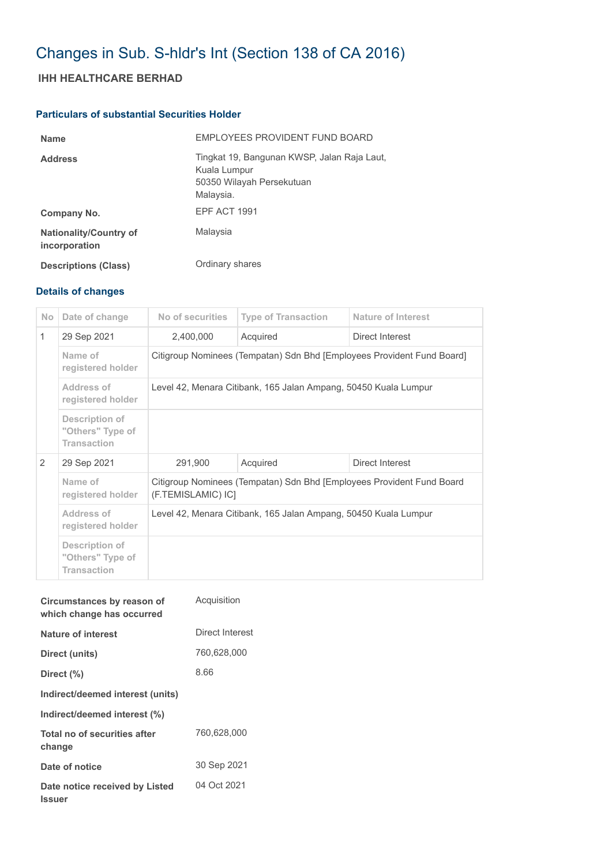# Changes in Sub. S-hldr's Int (Section 138 of CA 2016)

## **IHH HEALTHCARE BERHAD**

## **Particulars of substantial Securities Holder**

| <b>Name</b>                                    | EMPLOYEES PROVIDENT FUND BOARD                                                                        |
|------------------------------------------------|-------------------------------------------------------------------------------------------------------|
| <b>Address</b>                                 | Tingkat 19, Bangunan KWSP, Jalan Raja Laut,<br>Kuala Lumpur<br>50350 Wilayah Persekutuan<br>Malaysia. |
| Company No.                                    | EPF ACT 1991                                                                                          |
| <b>Nationality/Country of</b><br>incorporation | Malaysia                                                                                              |
| <b>Descriptions (Class)</b>                    | Ordinary shares                                                                                       |

## **Details of changes**

| No. | Date of change                                           | No of securities                                                                            | <b>Type of Transaction</b>  | Nature of Interest |  |
|-----|----------------------------------------------------------|---------------------------------------------------------------------------------------------|-----------------------------|--------------------|--|
| 1   | 29 Sep 2021                                              | 2,400,000                                                                                   | Acquired                    | Direct Interest    |  |
|     | Name of<br>registered holder                             | Citigroup Nominees (Tempatan) Sdn Bhd [Employees Provident Fund Board]                      |                             |                    |  |
|     | Address of<br>registered holder                          | Level 42, Menara Citibank, 165 Jalan Ampang, 50450 Kuala Lumpur                             |                             |                    |  |
|     | Description of<br>"Others" Type of<br><b>Transaction</b> |                                                                                             |                             |                    |  |
| 2   | 29 Sep 2021                                              | 291,900                                                                                     | Acquired<br>Direct Interest |                    |  |
|     | Name of<br>registered holder                             | Citigroup Nominees (Tempatan) Sdn Bhd [Employees Provident Fund Board<br>(F.TEMISLAMIC) IC] |                             |                    |  |
|     | Address of<br>registered holder                          | Level 42, Menara Citibank, 165 Jalan Ampang, 50450 Kuala Lumpur                             |                             |                    |  |
|     | Description of<br>"Others" Type of<br><b>Transaction</b> |                                                                                             |                             |                    |  |

| Circumstances by reason of<br>which change has occurred | Acquisition     |
|---------------------------------------------------------|-----------------|
| Nature of interest                                      | Direct Interest |
| Direct (units)                                          | 760,628,000     |
| Direct (%)                                              | 8.66            |
| Indirect/deemed interest (units)                        |                 |
| Indirect/deemed interest (%)                            |                 |
| Total no of securities after<br>change                  | 760,628,000     |
| Date of notice                                          | 30 Sep 2021     |
| Date notice received by Listed<br><b>Issuer</b>         | 04 Oct 2021     |